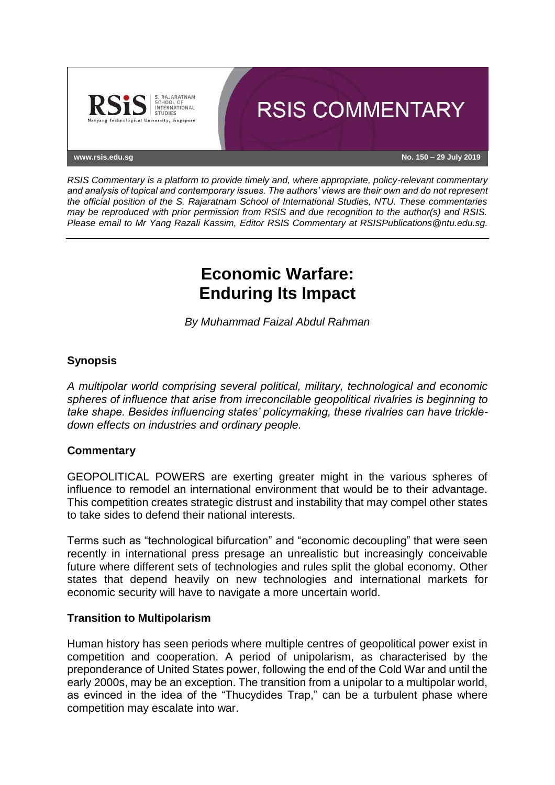

*RSIS Commentary is a platform to provide timely and, where appropriate, policy-relevant commentary and analysis of topical and contemporary issues. The authors' views are their own and do not represent the official position of the S. Rajaratnam School of International Studies, NTU. These commentaries may be reproduced with prior permission from RSIS and due recognition to the author(s) and RSIS. Please email to Mr Yang Razali Kassim, Editor RSIS Commentary at RSISPublications@ntu.edu.sg.*

# **Economic Warfare: Enduring Its Impact**

*By Muhammad Faizal Abdul Rahman*

# **Synopsis**

*A multipolar world comprising several political, military, technological and economic spheres of influence that arise from irreconcilable geopolitical rivalries is beginning to take shape. Besides influencing states' policymaking, these rivalries can have trickledown effects on industries and ordinary people.*

### **Commentary**

GEOPOLITICAL POWERS are exerting greater might in the various spheres of influence to remodel an international environment that would be to their advantage. This competition creates strategic distrust and instability that may compel other states to take sides to defend their national interests.

Terms such as "technological bifurcation" and "economic decoupling" that were seen recently in international press presage an unrealistic but increasingly conceivable future where different sets of technologies and rules split the global economy. Other states that depend heavily on new technologies and international markets for economic security will have to navigate a more uncertain world.

### **Transition to Multipolarism**

Human history has seen periods where multiple centres of geopolitical power exist in competition and cooperation. A period of unipolarism, as characterised by the preponderance of United States power, following the end of the Cold War and until the early 2000s, may be an exception. The transition from a unipolar to a multipolar world, as evinced in the idea of the "Thucydides Trap," can be a turbulent phase where competition may escalate into war.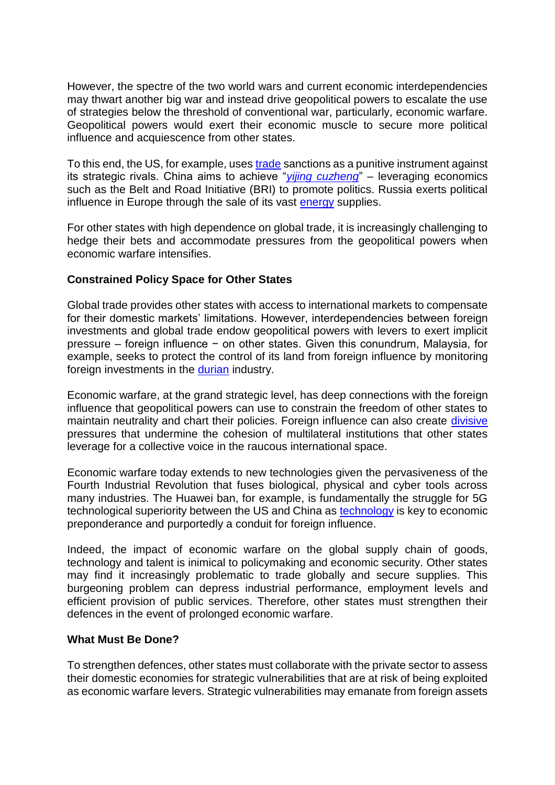However, the spectre of the two world wars and current economic interdependencies may thwart another big war and instead drive geopolitical powers to escalate the use of strategies below the threshold of conventional war, particularly, economic warfare. Geopolitical powers would exert their economic muscle to secure more political influence and acquiescence from other states.

To this end, the US, for example, uses [trade](https://www.businesstimes.com.sg/government-economy/trump-wields-a-more-powerful-weapon-than-tariffs-for-trade-war) sanctions as a punitive instrument against its strategic rivals. China aims to achieve "*[yijing cuzheng](https://openresearch-repository.anu.edu.au/bitstream/1885/132706/1/Zhang%20Thesis%202017.pdf)*" – leveraging economics such as the Belt and Road Initiative (BRI) to promote politics. Russia exerts political influence in Europe through the sale of its vast [energy](https://www.economist.com/leaders/2019/02/16/the-nord-stream-2-gas-pipeline-is-a-russian-trap) supplies.

For other states with high dependence on global trade, it is increasingly challenging to hedge their bets and accommodate pressures from the geopolitical powers when economic warfare intensifies.

# **Constrained Policy Space for Other States**

Global trade provides other states with access to international markets to compensate for their domestic markets' limitations. However, interdependencies between foreign investments and global trade endow geopolitical powers with levers to exert implicit pressure – foreign influence − on other states. Given this conundrum, Malaysia, for example, seeks to protect the control of its land from foreign influence by monitoring foreign investments in the **durian** industry.

Economic warfare, at the grand strategic level, has deep connections with the foreign influence that geopolitical powers can use to constrain the freedom of other states to maintain neutrality and chart their policies. Foreign influence can also create [divisive](https://www.aseantoday.com/2017/06/china-gaining-influence-over-asean-as-us-cedes-control/) pressures that undermine the cohesion of multilateral institutions that other states leverage for a collective voice in the raucous international space.

Economic warfare today extends to new technologies given the pervasiveness of the Fourth Industrial Revolution that fuses biological, physical and cyber tools across many industries. The Huawei ban, for example, is fundamentally the struggle for 5G technological superiority between the US and China as [technology](https://www.scmp.com/news/china/diplomacy-defence/article/2147288/how-china-acquires-crown-jewels-us-technology) is key to economic preponderance and purportedly a conduit for foreign influence.

Indeed, the impact of economic warfare on the global supply chain of goods, technology and talent is inimical to policymaking and economic security. Other states may find it increasingly problematic to trade globally and secure supplies. This burgeoning problem can depress industrial performance, employment levels and efficient provision of public services. Therefore, other states must strengthen their defences in the event of prolonged economic warfare.

### **What Must Be Done?**

To strengthen defences, other states must collaborate with the private sector to assess their domestic economies for strategic vulnerabilities that are at risk of being exploited as economic warfare levers. Strategic vulnerabilities may emanate from foreign assets